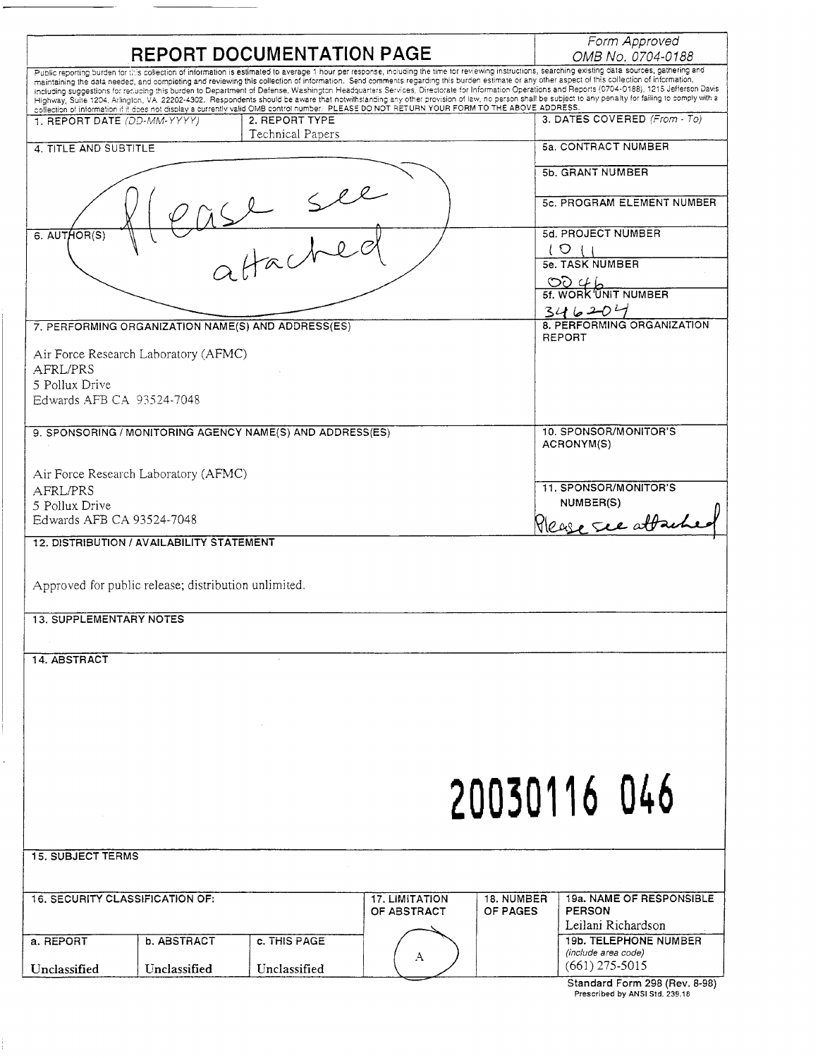| REPORT DOCUMENTATION PAGE                                                                                                                                                                                                                                                                                                                                                                                                                                                                                                                                                                                                                                                                                                                                                                                                                                                                                                                                      | Form Approved<br>OMB No. 0704-0188                    |
|----------------------------------------------------------------------------------------------------------------------------------------------------------------------------------------------------------------------------------------------------------------------------------------------------------------------------------------------------------------------------------------------------------------------------------------------------------------------------------------------------------------------------------------------------------------------------------------------------------------------------------------------------------------------------------------------------------------------------------------------------------------------------------------------------------------------------------------------------------------------------------------------------------------------------------------------------------------|-------------------------------------------------------|
| Public reporting burden for this collection of information is estimated to average 1 hour per response, including the time for reviewing instructions, searching existing data sources, gathering and<br>maintaining the data needed, and completing and reviewing this collection of information. Send comments regarding this burden estimate or any other aspect of this collection of information,<br>including suggestions for recucing this burden to Department of Defense, Washington Headquarters Services, Directorate for Information Operations and Reports (0704-0188), 1215 Jefferson Davis<br>Highway, Suite 1204, Arlington, VA 22202-4302. Respondents should be aware that notwithstanding any other provision of law, no person shall be subject to any penalty for failing to comply with a<br>collection of information if it does not display a currently valid OMB control number. PLEASE DO NOT RETURN YOUR FORM TO THE ABOVE ADDRESS. |                                                       |
| 2. REPORT TYPE<br>1. REPORT DATE (DD-MM-YYYY)<br>Technical Papers                                                                                                                                                                                                                                                                                                                                                                                                                                                                                                                                                                                                                                                                                                                                                                                                                                                                                              | 3. DATES COVERED (From - To)                          |
| 4. TITLE AND SUBTITLE                                                                                                                                                                                                                                                                                                                                                                                                                                                                                                                                                                                                                                                                                                                                                                                                                                                                                                                                          | 5a. CONTRACT NUMBER                                   |
|                                                                                                                                                                                                                                                                                                                                                                                                                                                                                                                                                                                                                                                                                                                                                                                                                                                                                                                                                                | 5b. GRANT NUMBER                                      |
| Sle                                                                                                                                                                                                                                                                                                                                                                                                                                                                                                                                                                                                                                                                                                                                                                                                                                                                                                                                                            | 5c. PROGRAM ELEMENT NUMBER                            |
| 6. AUTHOR(S)                                                                                                                                                                                                                                                                                                                                                                                                                                                                                                                                                                                                                                                                                                                                                                                                                                                                                                                                                   | <b>5d. PROJECT NUMBER</b><br>1 O<br>$\left\{ \right.$ |
| Hache                                                                                                                                                                                                                                                                                                                                                                                                                                                                                                                                                                                                                                                                                                                                                                                                                                                                                                                                                          | 5e. TASK NUMBER                                       |
|                                                                                                                                                                                                                                                                                                                                                                                                                                                                                                                                                                                                                                                                                                                                                                                                                                                                                                                                                                | 0046<br>5f. WORK UNIT NUMBER                          |
| 7. PERFORMING ORGANIZATION NAME(S) AND ADDRESS(ES)                                                                                                                                                                                                                                                                                                                                                                                                                                                                                                                                                                                                                                                                                                                                                                                                                                                                                                             | 346204<br>8. PERFORMING ORGANIZATION                  |
|                                                                                                                                                                                                                                                                                                                                                                                                                                                                                                                                                                                                                                                                                                                                                                                                                                                                                                                                                                | <b>REPORT</b>                                         |
| Air Force Research Laboratory (AFMC)<br>AFRL/PRS                                                                                                                                                                                                                                                                                                                                                                                                                                                                                                                                                                                                                                                                                                                                                                                                                                                                                                               |                                                       |
| 5 Pollux Drive<br>Edwards AFB CA 93524-7048                                                                                                                                                                                                                                                                                                                                                                                                                                                                                                                                                                                                                                                                                                                                                                                                                                                                                                                    |                                                       |
|                                                                                                                                                                                                                                                                                                                                                                                                                                                                                                                                                                                                                                                                                                                                                                                                                                                                                                                                                                |                                                       |
| 9. SPONSORING / MONITORING AGENCY NAME(S) AND ADDRESS(ES)                                                                                                                                                                                                                                                                                                                                                                                                                                                                                                                                                                                                                                                                                                                                                                                                                                                                                                      | 10. SPONSOR/MONITOR'S<br>ACRONYM(S)                   |
| Air Force Research Laboratory (AFMC)                                                                                                                                                                                                                                                                                                                                                                                                                                                                                                                                                                                                                                                                                                                                                                                                                                                                                                                           | 11. SPONSOR/MONITOR'S                                 |
| AFRL/PRS<br>5 Pollux Drive                                                                                                                                                                                                                                                                                                                                                                                                                                                                                                                                                                                                                                                                                                                                                                                                                                                                                                                                     | NUMBER(S)                                             |
| Edwards AFB CA 93524-7048                                                                                                                                                                                                                                                                                                                                                                                                                                                                                                                                                                                                                                                                                                                                                                                                                                                                                                                                      | Please see attach                                     |
| 12. DISTRIBUTION / AVAILABILITY STATEMENT                                                                                                                                                                                                                                                                                                                                                                                                                                                                                                                                                                                                                                                                                                                                                                                                                                                                                                                      |                                                       |
| Approved for public release; distribution unlimited.                                                                                                                                                                                                                                                                                                                                                                                                                                                                                                                                                                                                                                                                                                                                                                                                                                                                                                           |                                                       |
| <b>13. SUPPLEMENTARY NOTES</b>                                                                                                                                                                                                                                                                                                                                                                                                                                                                                                                                                                                                                                                                                                                                                                                                                                                                                                                                 |                                                       |
|                                                                                                                                                                                                                                                                                                                                                                                                                                                                                                                                                                                                                                                                                                                                                                                                                                                                                                                                                                |                                                       |
| 14. ABSTRACT                                                                                                                                                                                                                                                                                                                                                                                                                                                                                                                                                                                                                                                                                                                                                                                                                                                                                                                                                   |                                                       |
|                                                                                                                                                                                                                                                                                                                                                                                                                                                                                                                                                                                                                                                                                                                                                                                                                                                                                                                                                                |                                                       |
|                                                                                                                                                                                                                                                                                                                                                                                                                                                                                                                                                                                                                                                                                                                                                                                                                                                                                                                                                                |                                                       |
|                                                                                                                                                                                                                                                                                                                                                                                                                                                                                                                                                                                                                                                                                                                                                                                                                                                                                                                                                                |                                                       |
|                                                                                                                                                                                                                                                                                                                                                                                                                                                                                                                                                                                                                                                                                                                                                                                                                                                                                                                                                                |                                                       |
|                                                                                                                                                                                                                                                                                                                                                                                                                                                                                                                                                                                                                                                                                                                                                                                                                                                                                                                                                                |                                                       |
|                                                                                                                                                                                                                                                                                                                                                                                                                                                                                                                                                                                                                                                                                                                                                                                                                                                                                                                                                                | 20030116 046                                          |
|                                                                                                                                                                                                                                                                                                                                                                                                                                                                                                                                                                                                                                                                                                                                                                                                                                                                                                                                                                |                                                       |
| <b>15. SUBJECT TERMS</b>                                                                                                                                                                                                                                                                                                                                                                                                                                                                                                                                                                                                                                                                                                                                                                                                                                                                                                                                       |                                                       |
| <b>16. SECURITY CLASSIFICATION OF:</b><br><b>17. LIMITATION</b><br>18. NUMBER<br>OF ABSTRACT<br>OF PAGES                                                                                                                                                                                                                                                                                                                                                                                                                                                                                                                                                                                                                                                                                                                                                                                                                                                       | 19a. NAME OF RESPONSIBLE<br><b>PERSON</b>             |
|                                                                                                                                                                                                                                                                                                                                                                                                                                                                                                                                                                                                                                                                                                                                                                                                                                                                                                                                                                | Leilani Richardson                                    |
| b. ABSTRACT<br>c. THIS PAGE<br>a. REPORT<br>A                                                                                                                                                                                                                                                                                                                                                                                                                                                                                                                                                                                                                                                                                                                                                                                                                                                                                                                  | <b>19b. TELEPHONE NUMBER</b><br>(include area code)   |
| Unclassified<br>Unclassified<br>Unclassified                                                                                                                                                                                                                                                                                                                                                                                                                                                                                                                                                                                                                                                                                                                                                                                                                                                                                                                   | $(661)$ 275-5015<br>Standard Form 298 (Rev. 8-98)     |

Prescribed by ANSI S1d. 239.18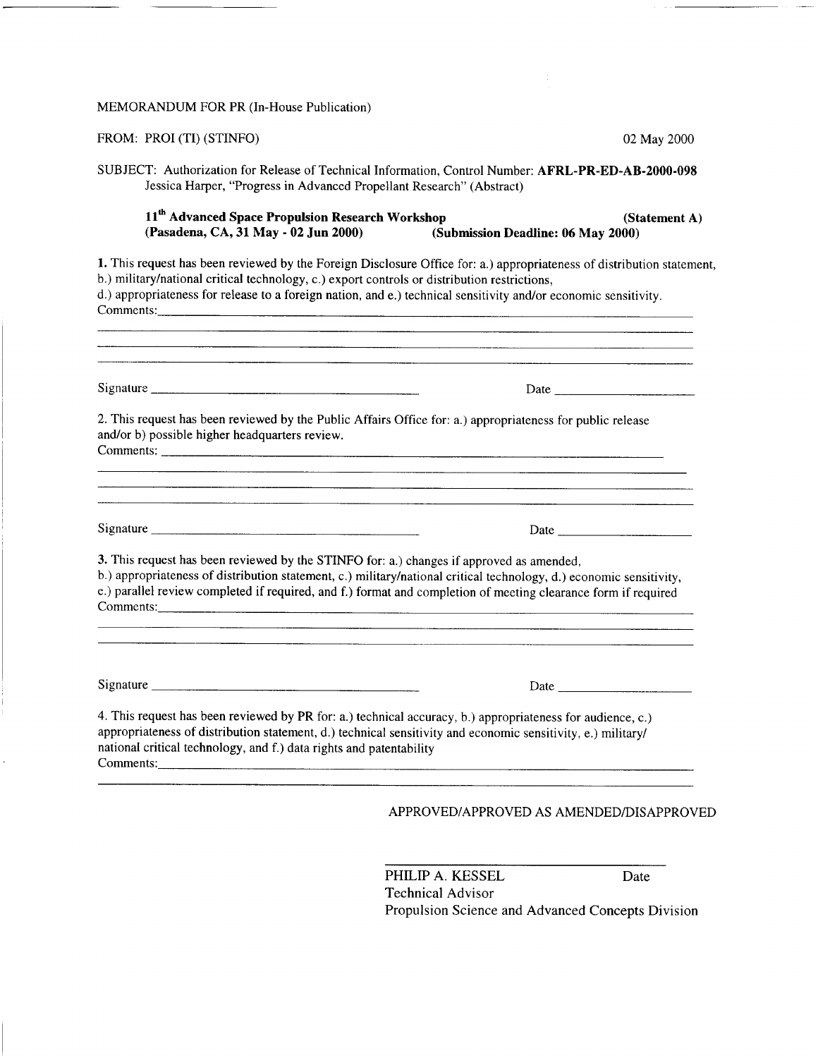## MEMORANDUM FOR PR (In-House Publication)

 $\mathcal{E}$ 

| 02 May 2000                                                                                                                                                                                                                                                                                                                                    |
|------------------------------------------------------------------------------------------------------------------------------------------------------------------------------------------------------------------------------------------------------------------------------------------------------------------------------------------------|
| SUBJECT: Authorization for Release of Technical Information, Control Number: AFRL-PR-ED-AB-2000-098<br>Jessica Harper, "Progress in Advanced Propellant Research" (Abstract)                                                                                                                                                                   |
| 11 <sup>th</sup> Advanced Space Propulsion Research Workshop<br>(Statement A)<br>(Submission Deadline: 06 May 2000)                                                                                                                                                                                                                            |
| 1. This request has been reviewed by the Foreign Disclosure Office for: a.) appropriateness of distribution statement,<br>b.) military/national critical technology, c.) export controls or distribution restrictions,<br>d.) appropriateness for release to a foreign nation, and e.) technical sensitivity and/or economic sensitivity.      |
|                                                                                                                                                                                                                                                                                                                                                |
| 2. This request has been reviewed by the Public Affairs Office for: a.) appropriateness for public release                                                                                                                                                                                                                                     |
| Date                                                                                                                                                                                                                                                                                                                                           |
|                                                                                                                                                                                                                                                                                                                                                |
| 3. This request has been reviewed by the STINFO for: a.) changes if approved as amended,<br>b.) appropriateness of distribution statement, c.) military/national critical technology, d.) economic sensitivity,<br>e.) parallel review completed if required, and f.) format and completion of meeting clearance form if required<br>Comments: |
|                                                                                                                                                                                                                                                                                                                                                |
|                                                                                                                                                                                                                                                                                                                                                |

PHILIP A. KESSEL Date Technical Advisor Propulsion Science and Advanced Concepts Division